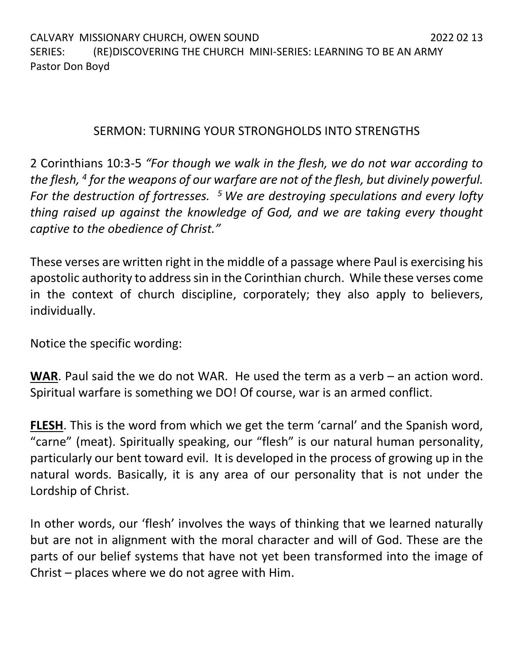## SERMON: TURNING YOUR STRONGHOLDS INTO STRENGTHS

2 Corinthians 10:3-5 *"For though we walk in the flesh, we do not war according to the flesh, <sup>4</sup> for the weapons of our warfare are not of the flesh, but divinely powerful. For the destruction of fortresses. <sup>5</sup>We are destroying speculations and every lofty thing raised up against the knowledge of God, and we are taking every thought captive to the obedience of Christ."*

These verses are written right in the middle of a passage where Paul is exercising his apostolic authority to address sin in the Corinthian church. While these verses come in the context of church discipline, corporately; they also apply to believers, individually.

Notice the specific wording:

**WAR**. Paul said the we do not WAR. He used the term as a verb – an action word. Spiritual warfare is something we DO! Of course, war is an armed conflict.

**FLESH**. This is the word from which we get the term 'carnal' and the Spanish word, "carne" (meat). Spiritually speaking, our "flesh" is our natural human personality, particularly our bent toward evil. It is developed in the process of growing up in the natural words. Basically, it is any area of our personality that is not under the Lordship of Christ.

In other words, our 'flesh' involves the ways of thinking that we learned naturally but are not in alignment with the moral character and will of God. These are the parts of our belief systems that have not yet been transformed into the image of Christ – places where we do not agree with Him.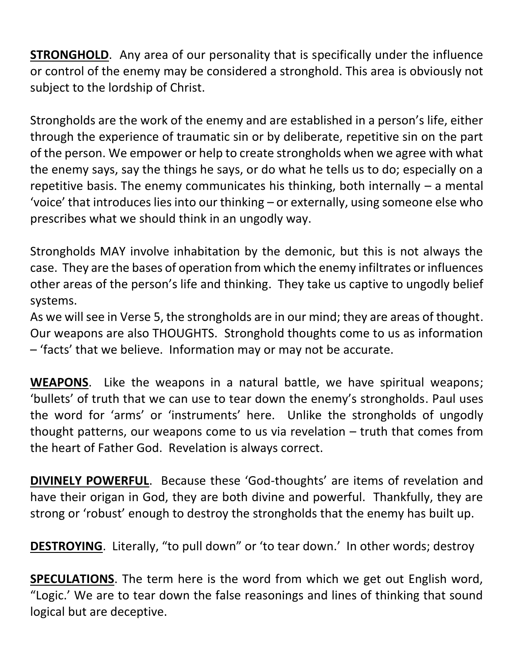**STRONGHOLD.** Any area of our personality that is specifically under the influence or control of the enemy may be considered a stronghold. This area is obviously not subject to the lordship of Christ.

Strongholds are the work of the enemy and are established in a person's life, either through the experience of traumatic sin or by deliberate, repetitive sin on the part of the person. We empower or help to create strongholds when we agree with what the enemy says, say the things he says, or do what he tells us to do; especially on a repetitive basis. The enemy communicates his thinking, both internally – a mental 'voice' that introduces lies into our thinking – or externally, using someone else who prescribes what we should think in an ungodly way.

Strongholds MAY involve inhabitation by the demonic, but this is not always the case. They are the bases of operation from which the enemy infiltrates or influences other areas of the person's life and thinking. They take us captive to ungodly belief systems.

As we will see in Verse 5, the strongholds are in our mind; they are areas of thought. Our weapons are also THOUGHTS. Stronghold thoughts come to us as information – 'facts' that we believe. Information may or may not be accurate.

**WEAPONS**. Like the weapons in a natural battle, we have spiritual weapons; 'bullets' of truth that we can use to tear down the enemy's strongholds. Paul uses the word for 'arms' or 'instruments' here. Unlike the strongholds of ungodly thought patterns, our weapons come to us via revelation – truth that comes from the heart of Father God. Revelation is always correct.

**DIVINELY POWERFUL**. Because these 'God-thoughts' are items of revelation and have their origan in God, they are both divine and powerful. Thankfully, they are strong or 'robust' enough to destroy the strongholds that the enemy has built up.

**DESTROYING**. Literally, "to pull down" or 'to tear down.' In other words; destroy

**SPECULATIONS**. The term here is the word from which we get out English word, "Logic.' We are to tear down the false reasonings and lines of thinking that sound logical but are deceptive.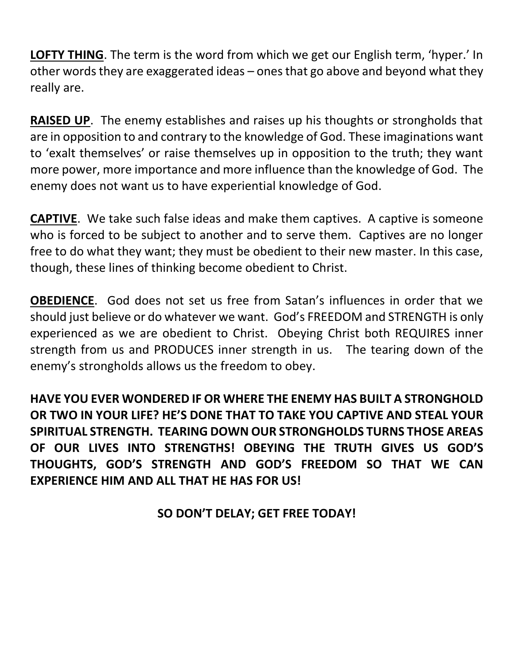**LOFTY THING**. The term is the word from which we get our English term, 'hyper.' In other words they are exaggerated ideas – ones that go above and beyond what they really are.

**RAISED UP**. The enemy establishes and raises up his thoughts or strongholds that are in opposition to and contrary to the knowledge of God. These imaginations want to 'exalt themselves' or raise themselves up in opposition to the truth; they want more power, more importance and more influence than the knowledge of God. The enemy does not want us to have experiential knowledge of God.

**CAPTIVE**. We take such false ideas and make them captives. A captive is someone who is forced to be subject to another and to serve them. Captives are no longer free to do what they want; they must be obedient to their new master. In this case, though, these lines of thinking become obedient to Christ.

**OBEDIENCE**. God does not set us free from Satan's influences in order that we should just believe or do whatever we want. God's FREEDOM and STRENGTH is only experienced as we are obedient to Christ. Obeying Christ both REQUIRES inner strength from us and PRODUCES inner strength in us. The tearing down of the enemy's strongholds allows us the freedom to obey.

**HAVE YOU EVER WONDERED IF OR WHERE THE ENEMY HAS BUILT A STRONGHOLD OR TWO IN YOUR LIFE? HE'S DONE THAT TO TAKE YOU CAPTIVE AND STEAL YOUR SPIRITUAL STRENGTH. TEARING DOWN OUR STRONGHOLDS TURNS THOSE AREAS OF OUR LIVES INTO STRENGTHS! OBEYING THE TRUTH GIVES US GOD'S THOUGHTS, GOD'S STRENGTH AND GOD'S FREEDOM SO THAT WE CAN EXPERIENCE HIM AND ALL THAT HE HAS FOR US!** 

**SO DON'T DELAY; GET FREE TODAY!**